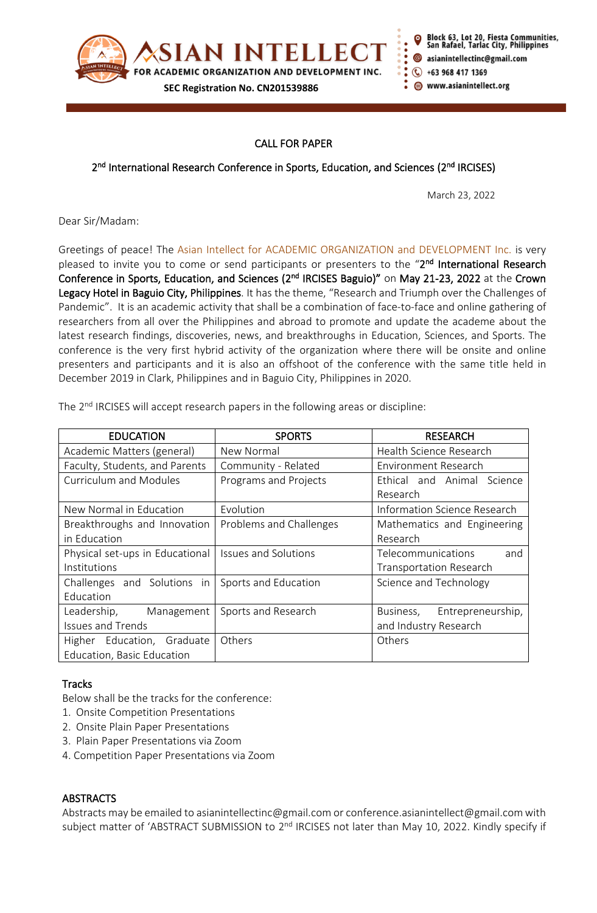

ot 20, Fiesta Communities, fael, Tarlac City, Philippines asianintellectinc@gmail.com +63 968 417 1369 www.asianintellect.org

# CALL FOR PAPER

## 2<sup>nd</sup> International Research Conference in Sports, Education, and Sciences (2<sup>nd</sup> IRCISES)

March 23, 2022

Dear Sir/Madam:

Greetings of peace! The Asian Intellect for ACADEMIC ORGANIZATION and DEVELOPMENT Inc. is very pleased to invite you to come or send participants or presenters to the "2<sup>nd</sup> International Research Conference in Sports, Education, and Sciences (2<sup>nd</sup> IRCISES Baguio)" on May 21-23, 2022 at the Crown Legacy Hotel in Baguio City, Philippines. It has the theme, "Research and Triumph over the Challenges of Pandemic". It is an academic activity that shall be a combination of face-to-face and online gathering of researchers from all over the Philippines and abroad to promote and update the academe about the latest research findings, discoveries, news, and breakthroughs in Education, Sciences, and Sports. The conference is the very first hybrid activity of the organization where there will be onsite and online presenters and participants and it is also an offshoot of the conference with the same title held in December 2019 in Clark, Philippines and in Baguio City, Philippines in 2020.

| <b>EDUCATION</b>                | <b>SPORTS</b>               | <b>RESEARCH</b>                |
|---------------------------------|-----------------------------|--------------------------------|
| Academic Matters (general)      | New Normal                  | Health Science Research        |
| Faculty, Students, and Parents  | Community - Related         | <b>Environment Research</b>    |
| Curriculum and Modules          | Programs and Projects       | Ethical and Animal Science     |
|                                 |                             | Research                       |
| New Normal in Education         | Evolution                   | Information Science Research   |
| Breakthroughs and Innovation    | Problems and Challenges     | Mathematics and Engineering    |
| in Education                    |                             | Research                       |
| Physical set-ups in Educational | <b>Issues and Solutions</b> | Telecommunications<br>and      |
| Institutions                    |                             | <b>Transportation Research</b> |
| Challenges and Solutions in     | Sports and Education        | Science and Technology         |
| Education                       |                             |                                |
| Leadership,<br>Management       | Sports and Research         | Business,<br>Entrepreneurship, |
| <b>Issues and Trends</b>        |                             | and Industry Research          |
| Higher Education, Graduate      | Others                      | Others                         |
| Education, Basic Education      |                             |                                |

The 2<sup>nd</sup> IRCISES will accept research papers in the following areas or discipline:

### **Tracks**

Below shall be the tracks for the conference:

- 1. Onsite Competition Presentations
- 2. Onsite Plain Paper Presentations
- 3. Plain Paper Presentations via Zoom
- 4. Competition Paper Presentations via Zoom

### **ABSTRACTS**

Abstracts may be emailed to asianintellectinc@gmail.com or conference.asianintellect@gmail.com with subject matter of 'ABSTRACT SUBMISSION to 2<sup>nd</sup> IRCISES not later than May 10, 2022. Kindly specify if